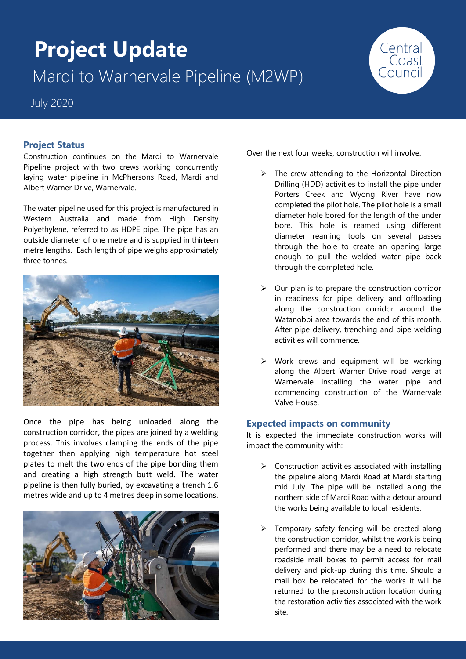# **Project Update** Mardi to Warnervale Pipeline (M2WP)

July 2020

# **Project Status**

Construction continues on the Mardi to Warnervale Pipeline project with two crews working concurrently laying water pipeline in McPhersons Road, Mardi and Albert Warner Drive, Warnervale.

The water pipeline used for this project is manufactured in Western Australia and made from High Density Polyethylene, referred to as HDPE pipe. The pipe has an outside diameter of one metre and is supplied in thirteen metre lengths. Each length of pipe weighs approximately three tonnes.



Once the pipe has being unloaded along the construction corridor, the pipes are joined by a welding process. This involves clamping the ends of the pipe together then applying high temperature hot steel plates to melt the two ends of the pipe bonding them and creating a high strength butt weld. The water pipeline is then fully buried, by excavating a trench 1.6 metres wide and up to 4 metres deep in some locations.



Over the next four weeks, construction will involve:

 $\triangleright$  The crew attending to the Horizontal Direction Drilling (HDD) activities to install the pipe under Porters Creek and Wyong River have now completed the pilot hole. The pilot hole is a small diameter hole bored for the length of the under bore. This hole is reamed using different diameter reaming tools on several passes through the hole to create an opening large enough to pull the welded water pipe back through the completed hole.

Central<br>Coast

- ➢ Our plan is to prepare the construction corridor in readiness for pipe delivery and offloading along the construction corridor around the Watanobbi area towards the end of this month. After pipe delivery, trenching and pipe welding activities will commence.
- ➢ Work crews and equipment will be working along the Albert Warner Drive road verge at Warnervale installing the water pipe and commencing construction of the Warnervale Valve House.

## **Expected impacts on community**

It is expected the immediate construction works will impact the community with:

- ➢ Construction activities associated with installing the pipeline along Mardi Road at Mardi starting mid July. The pipe will be installed along the northern side of Mardi Road with a detour around the works being available to local residents.
- Temporary safety fencing will be erected along the construction corridor, whilst the work is being performed and there may be a need to relocate roadside mail boxes to permit access for mail delivery and pick-up during this time. Should a mail box be relocated for the works it will be returned to the preconstruction location during the restoration activities associated with the work site.